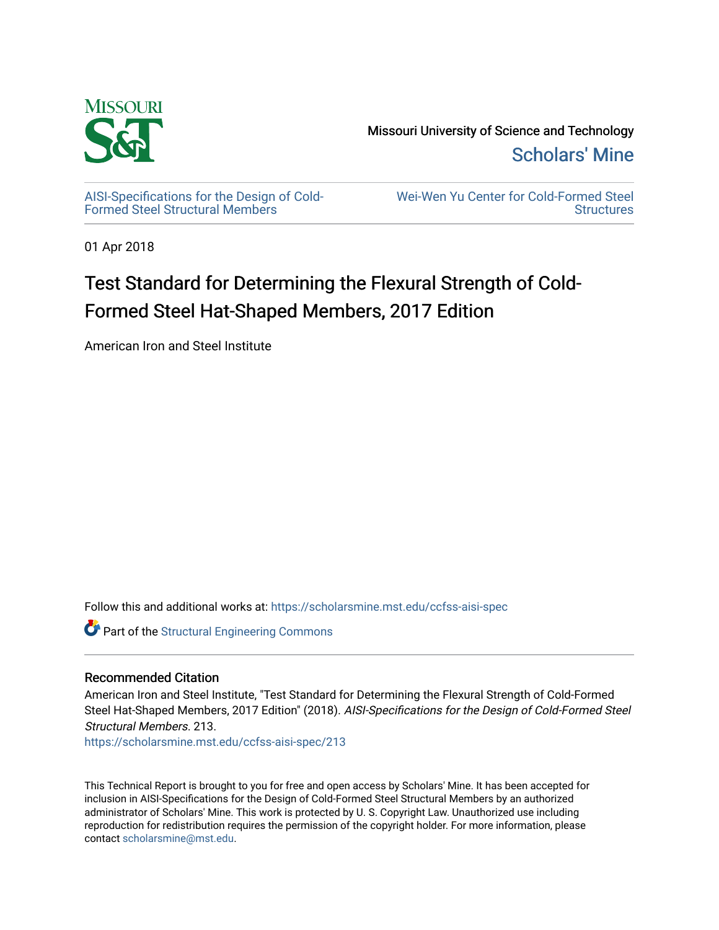

[AISI-Specifications for the Design of Cold-](https://scholarsmine.mst.edu/ccfss-aisi-spec)[Formed Steel Structural Members](https://scholarsmine.mst.edu/ccfss-aisi-spec)

[Wei-Wen Yu Center for Cold-Formed Steel](https://scholarsmine.mst.edu/ccfss)  **Structures** 

01 Apr 2018

# Test Standard for Determining the Flexural Strength of Cold-Formed Steel Hat-Shaped Members, 2017 Edition

American Iron and Steel Institute

Follow this and additional works at: [https://scholarsmine.mst.edu/ccfss-aisi-spec](https://scholarsmine.mst.edu/ccfss-aisi-spec?utm_source=scholarsmine.mst.edu%2Fccfss-aisi-spec%2F213&utm_medium=PDF&utm_campaign=PDFCoverPages) 

**Part of the Structural Engineering Commons** 

### Recommended Citation

American Iron and Steel Institute, "Test Standard for Determining the Flexural Strength of Cold-Formed Steel Hat-Shaped Members, 2017 Edition" (2018). AISI-Specifications for the Design of Cold-Formed Steel Structural Members. 213.

[https://scholarsmine.mst.edu/ccfss-aisi-spec/213](https://scholarsmine.mst.edu/ccfss-aisi-spec/213?utm_source=scholarsmine.mst.edu%2Fccfss-aisi-spec%2F213&utm_medium=PDF&utm_campaign=PDFCoverPages) 

This Technical Report is brought to you for free and open access by Scholars' Mine. It has been accepted for inclusion in AISI-Specifications for the Design of Cold-Formed Steel Structural Members by an authorized administrator of Scholars' Mine. This work is protected by U. S. Copyright Law. Unauthorized use including reproduction for redistribution requires the permission of the copyright holder. For more information, please contact [scholarsmine@mst.edu](mailto:scholarsmine@mst.edu).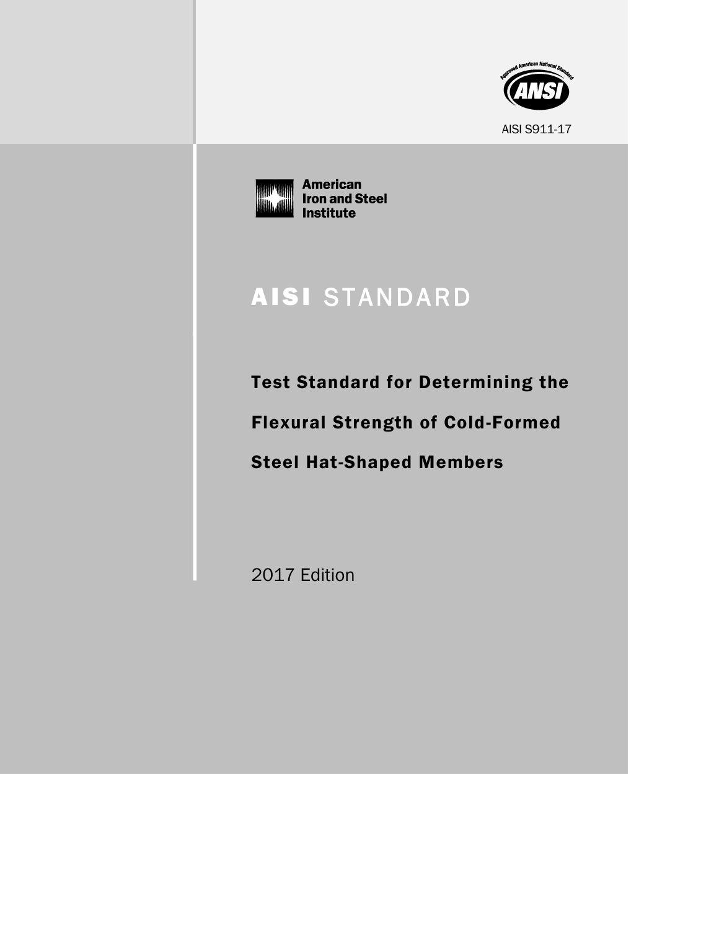



# **AISI** STANDARD

# Test Standard for Determining the

Flexural Strength of Cold-Formed

Steel Hat-Shaped Members

2017 Edition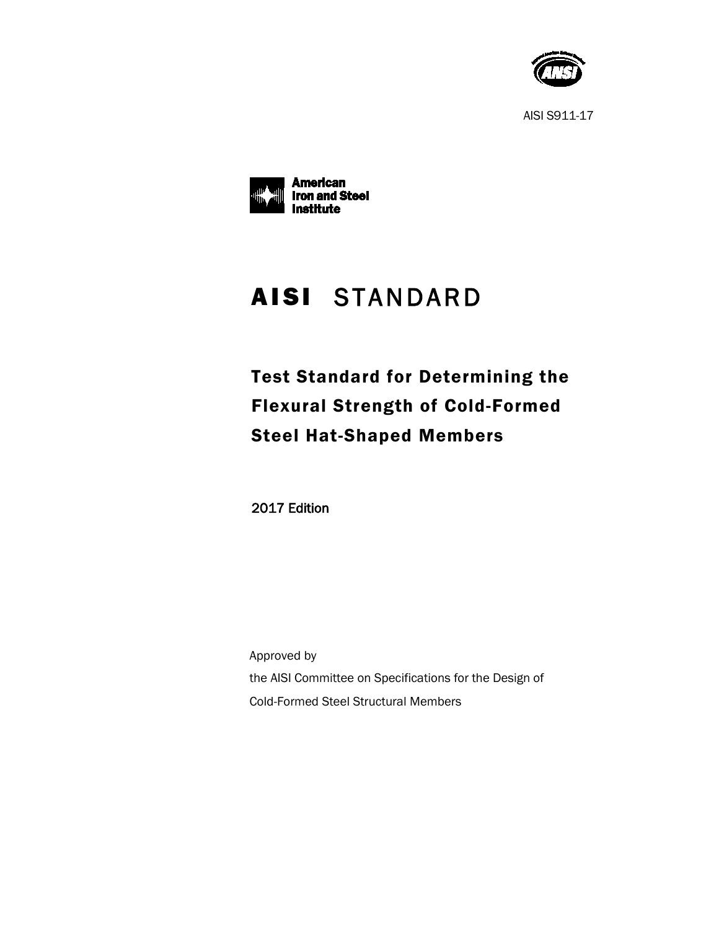

AISI S911-17



# AISI STANDARD

# Test Standard for Determining the Flexural Strength of Cold-Formed Steel Hat-Shaped Members

2017 Edition

Approved by the AISI Committee on Specifications for the Design of Cold-Formed Steel Structural Members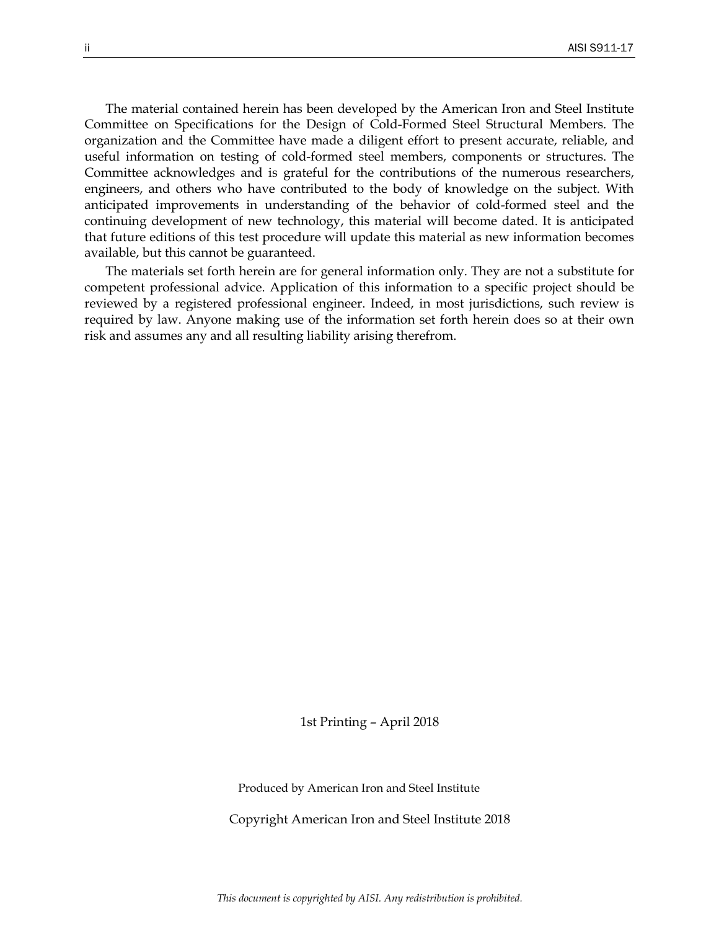The material contained herein has been developed by the American Iron and Steel Institute Committee on Specifications for the Design of Cold-Formed Steel Structural Members. The organization and the Committee have made a diligent effort to present accurate, reliable, and useful information on testing of cold-formed steel members, components or structures. The Committee acknowledges and is grateful for the contributions of the numerous researchers, engineers, and others who have contributed to the body of knowledge on the subject. With anticipated improvements in understanding of the behavior of cold-formed steel and the continuing development of new technology, this material will become dated. It is anticipated that future editions of this test procedure will update this material as new information becomes available, but this cannot be guaranteed.

The materials set forth herein are for general information only. They are not a substitute for competent professional advice. Application of this information to a specific project should be reviewed by a registered professional engineer. Indeed, in most jurisdictions, such review is required by law. Anyone making use of the information set forth herein does so at their own risk and assumes any and all resulting liability arising therefrom.

1st Printing – April 2018

Produced by American Iron and Steel Institute

Copyright American Iron and Steel Institute 2018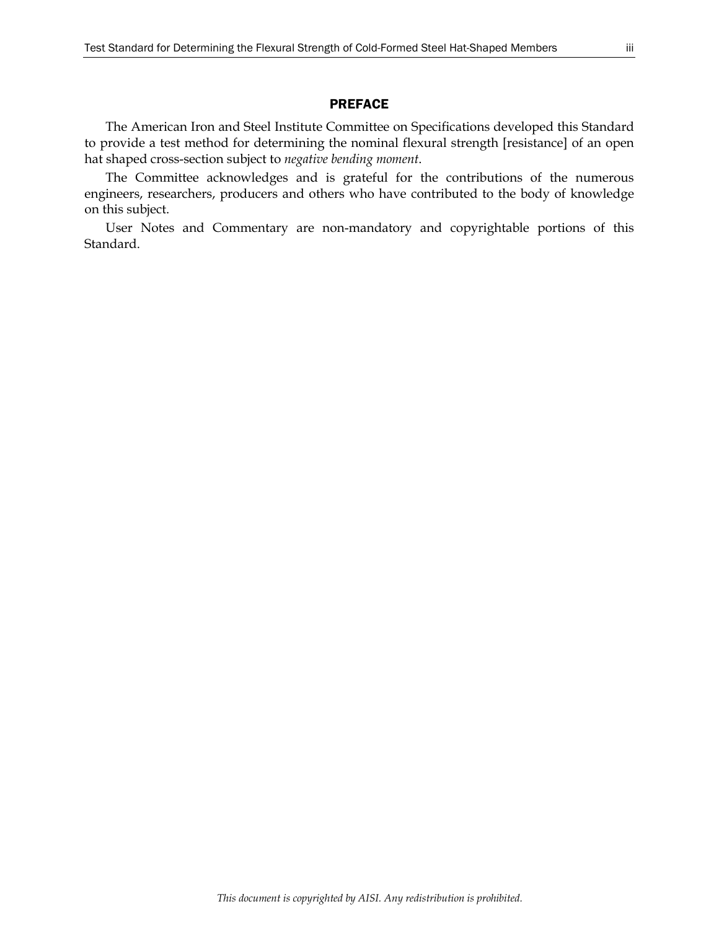#### PREFACE

The American Iron and Steel Institute Committee on Specifications developed this Standard to provide a test method for determining the nominal flexural strength [resistance] of an open hat shaped cross-section subject to *negative bending moment*.

The Committee acknowledges and is grateful for the contributions of the numerous engineers, researchers, producers and others who have contributed to the body of knowledge on this subject.

User Notes and Commentary are non-mandatory and copyrightable portions of this Standard.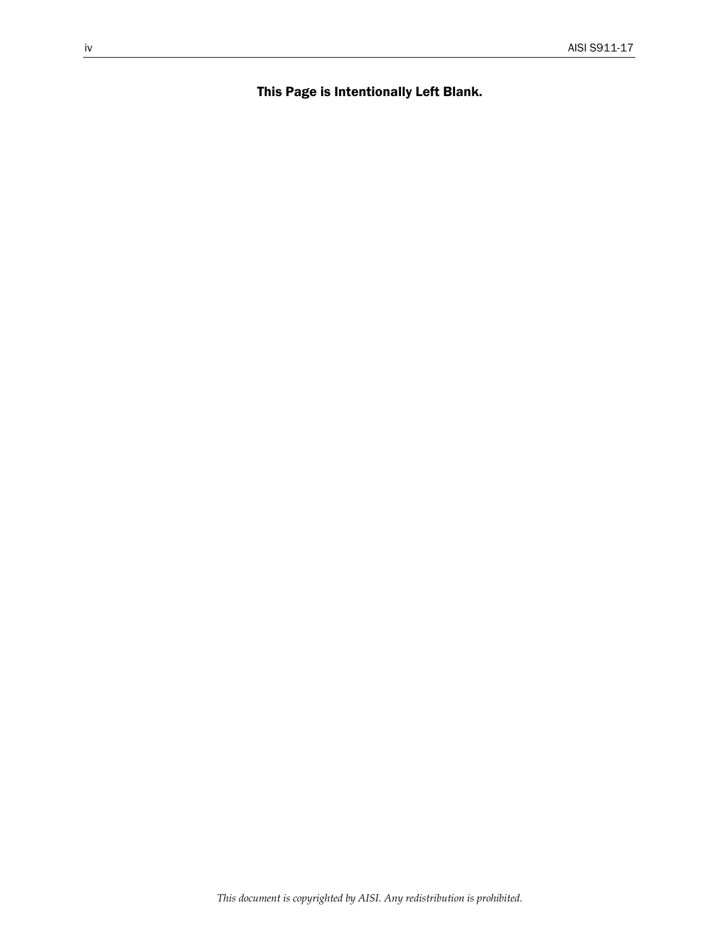This Page is Intentionally Left Blank.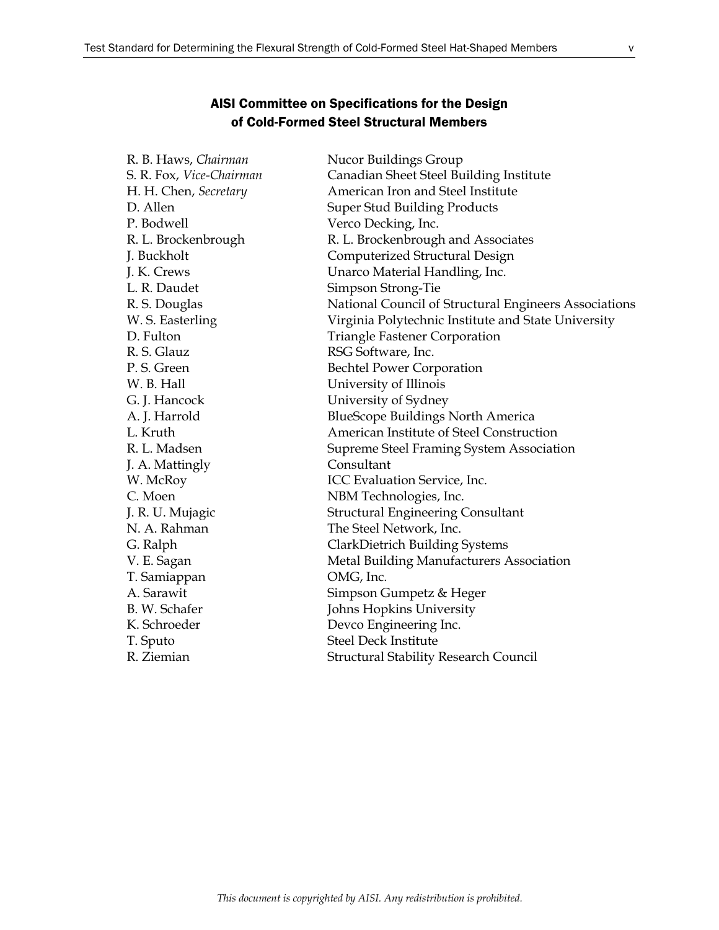# AISI Committee on Specifications for the Design of Cold-Formed Steel Structural Members

R. B. Haws, *Chairman* Nucor Buildings Group P. Bodwell Verco Decking, Inc. L. R. Daudet Simpson Strong-Tie R. S. Glauz RSG Software, Inc. W. B. Hall University of Illinois G. J. Hancock University of Sydney J. A. Mattingly Consultant C. Moen NBM Technologies, Inc. N. A. Rahman The Steel Network, Inc. T. Samiappan OMG, Inc. K. Schroeder Devco Engineering Inc. T. Sputo Steel Deck Institute

S. R. Fox, *Vice-Chairman* Canadian Sheet Steel Building Institute H. H. Chen, *Secretary* American Iron and Steel Institute D. Allen Super Stud Building Products R. L. Brockenbrough R. L. Brockenbrough and Associates J. Buckholt Computerized Structural Design J. K. Crews Unarco Material Handling, Inc. R. S. Douglas National Council of Structural Engineers Associations W. S. Easterling Virginia Polytechnic Institute and State University D. Fulton Triangle Fastener Corporation P. S. Green Bechtel Power Corporation A. J. Harrold BlueScope Buildings North America L. Kruth American Institute of Steel Construction R. L. Madsen Supreme Steel Framing System Association W. McRoy **ICC Evaluation Service**, Inc. J. R. U. Mujagic Structural Engineering Consultant G. Ralph ClarkDietrich Building Systems V. E. Sagan **Metal Building Manufacturers Association** A. Sarawit Simpson Gumpetz & Heger B. W. Schafer Johns Hopkins University R. Ziemian Structural Stability Research Council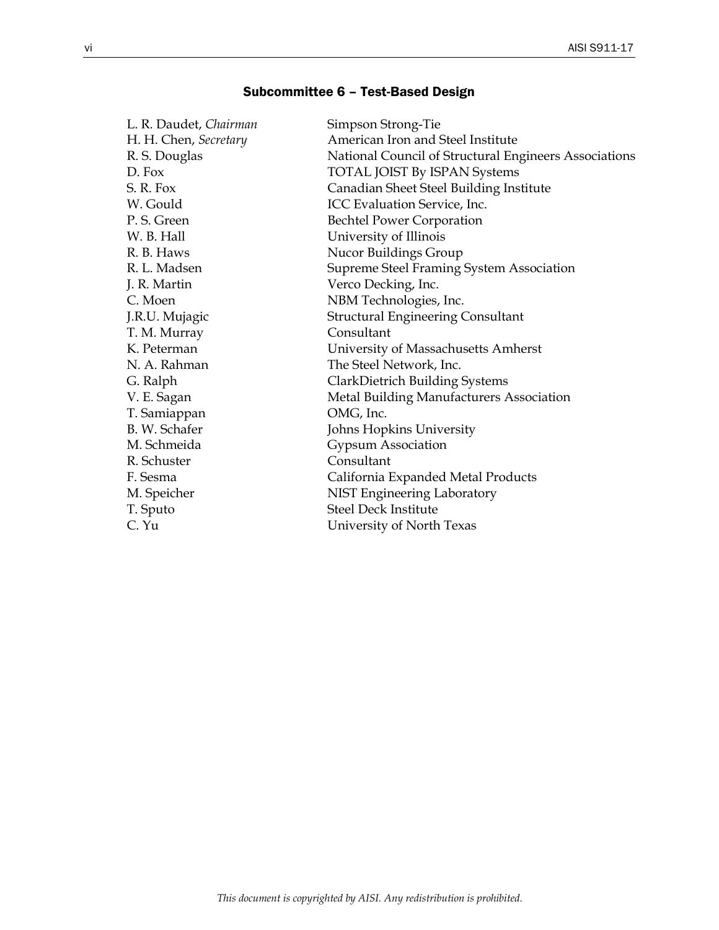# Subcommittee 6 – Test-Based Design

| L. R. Daudet, Chairman | Simpson Strong-Tie                                    |
|------------------------|-------------------------------------------------------|
| H. H. Chen, Secretary  | American Iron and Steel Institute                     |
| R. S. Douglas          | National Council of Structural Engineers Associations |
| D. Fox                 | <b>TOTAL JOIST By ISPAN Systems</b>                   |
| S. R. Fox              | Canadian Sheet Steel Building Institute               |
| W. Gould               | ICC Evaluation Service, Inc.                          |
| P. S. Green            | <b>Bechtel Power Corporation</b>                      |
| W. B. Hall             | University of Illinois                                |
| R. B. Haws             | Nucor Buildings Group                                 |
| R. L. Madsen           | Supreme Steel Framing System Association              |
| J. R. Martin           | Verco Decking, Inc.                                   |
| C. Moen                | NBM Technologies, Inc.                                |
| J.R.U. Mujagic         | <b>Structural Engineering Consultant</b>              |
| T. M. Murray           | Consultant                                            |
| K. Peterman            | University of Massachusetts Amherst                   |
| N. A. Rahman           | The Steel Network, Inc.                               |
| G. Ralph               | ClarkDietrich Building Systems                        |
| V. E. Sagan            | Metal Building Manufacturers Association              |
| T. Samiappan           | OMG, Inc.                                             |
| B. W. Schafer          | Johns Hopkins University                              |
| M. Schmeida            | <b>Gypsum Association</b>                             |
| R. Schuster            | Consultant                                            |
| F. Sesma               | California Expanded Metal Products                    |
| M. Speicher            | NIST Engineering Laboratory                           |
| T. Sputo               | <b>Steel Deck Institute</b>                           |
| $C.$ Yu                | University of North Texas                             |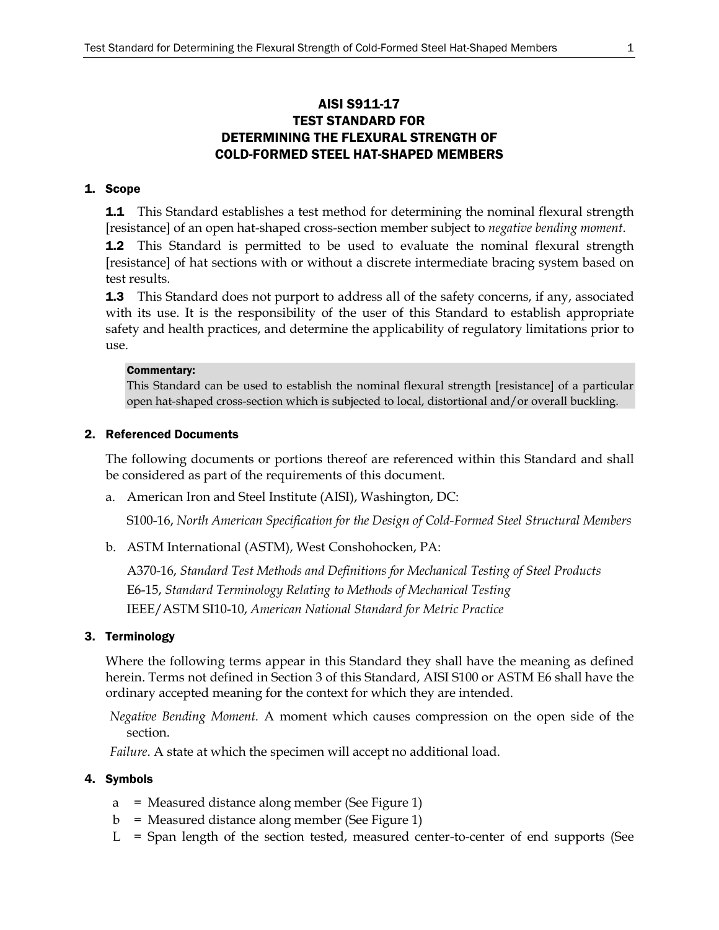# AISI S911-17 TEST STANDARD FOR DETERMINING THE FLEXURAL STRENGTH OF COLD-FORMED STEEL HAT-SHAPED MEMBERS

#### 1. Scope

**1.1** This Standard establishes a test method for determining the nominal flexural strength [resistance] of an open hat-shaped cross-section member subject to *negative bending moment*.

**1.2** This Standard is permitted to be used to evaluate the nominal flexural strength [resistance] of hat sections with or without a discrete intermediate bracing system based on test results.

**1.3** This Standard does not purport to address all of the safety concerns, if any, associated with its use. It is the responsibility of the user of this Standard to establish appropriate safety and health practices, and determine the applicability of regulatory limitations prior to use.

#### Commentary:

This Standard can be used to establish the nominal flexural strength [resistance] of a particular open hat-shaped cross-section which is subjected to local, distortional and/or overall buckling.

#### 2. Referenced Documents

The following documents or portions thereof are referenced within this Standard and shall be considered as part of the requirements of this document.

a. American Iron and Steel Institute (AISI), Washington, DC:

S100-16, *North American Specification for the Design of Cold-Formed Steel Structural Members*

b. ASTM International (ASTM), West Conshohocken, PA:

A370-16, *Standard Test Methods and Definitions for Mechanical Testing of Steel Products* E6-15, *Standard Terminology Relating to Methods of Mechanical Testing* IEEE/ASTM SI10-10, *American National Standard for Metric Practice*

#### 3. Terminology

Where the following terms appear in this Standard they shall have the meaning as defined herein. Terms not defined in Section 3 of this Standard, AISI S100 or ASTM E6 shall have the ordinary accepted meaning for the context for which they are intended.

*Negative Bending Moment.* A moment which causes compression on the open side of the section.

*Failure*. A state at which the specimen will accept no additional load.

#### 4. Symbols

- a = Measured distance along member (See Figure 1)
- b = Measured distance along member (See Figure 1)
- $L =$  Span length of the section tested, measured center-to-center of end supports (See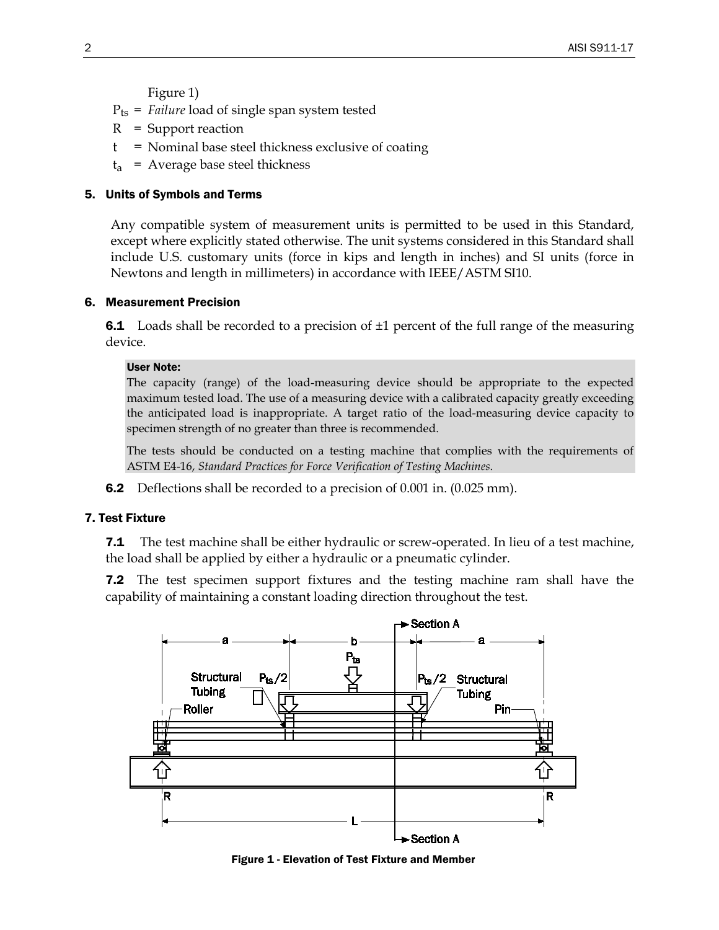Figure 1)

- Pts = *Failure* load of single span system tested
- R = Support reaction
- $t =$  Nominal base steel thickness exclusive of coating
- $t_a$  = Average base steel thickness

#### 5. Units of Symbols and Terms

Any compatible system of measurement units is permitted to be used in this Standard, except where explicitly stated otherwise. The unit systems considered in this Standard shall include U.S. customary units (force in kips and length in inches) and SI units (force in Newtons and length in millimeters) in accordance with IEEE/ASTM SI10.

#### 6. Measurement Precision

**6.1** Loads shall be recorded to a precision of  $\pm 1$  percent of the full range of the measuring device.

#### User Note:

The capacity (range) of the load-measuring device should be appropriate to the expected maximum tested load. The use of a measuring device with a calibrated capacity greatly exceeding the anticipated load is inappropriate. A target ratio of the load-measuring device capacity to specimen strength of no greater than three is recommended.

The tests should be conducted on a testing machine that complies with the requirements of ASTM E4-16, *Standard Practices for Force Verification of Testing Machines*.

**6.2** Deflections shall be recorded to a precision of 0.001 in. (0.025 mm).

#### 7. Test Fixture

**7.1** The test machine shall be either hydraulic or screw-operated. In lieu of a test machine, the load shall be applied by either a hydraulic or a pneumatic cylinder.

**7.2** The test specimen support fixtures and the testing machine ram shall have the capability of maintaining a constant loading direction throughout the test.



Figure 1 - Elevation of Test Fixture and Member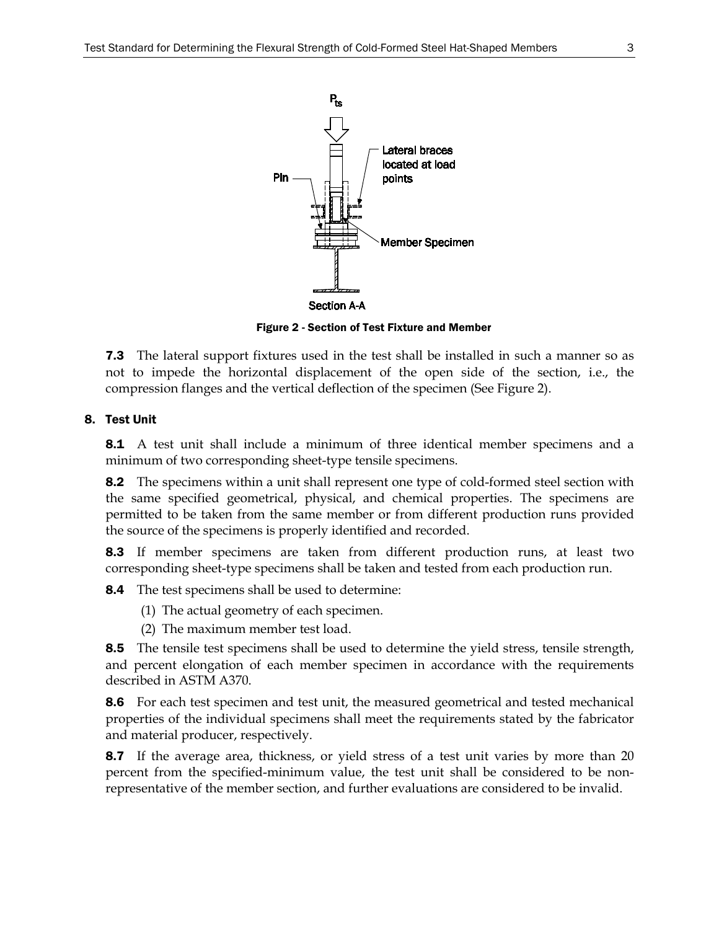

Figure 2 - Section of Test Fixture and Member

**7.3** The lateral support fixtures used in the test shall be installed in such a manner so as not to impede the horizontal displacement of the open side of the section, i.e., the compression flanges and the vertical deflection of the specimen (See Figure 2).

### 8. Test Unit

8.1 A test unit shall include a minimum of three identical member specimens and a minimum of two corresponding sheet-type tensile specimens.

**8.2** The specimens within a unit shall represent one type of cold-formed steel section with the same specified geometrical, physical, and chemical properties. The specimens are permitted to be taken from the same member or from different production runs provided the source of the specimens is properly identified and recorded.

8.3 If member specimens are taken from different production runs, at least two corresponding sheet-type specimens shall be taken and tested from each production run.

**8.4** The test specimens shall be used to determine:

- (1) The actual geometry of each specimen.
- (2) The maximum member test load.

**8.5** The tensile test specimens shall be used to determine the yield stress, tensile strength, and percent elongation of each member specimen in accordance with the requirements described in ASTM A370.

8.6 For each test specimen and test unit, the measured geometrical and tested mechanical properties of the individual specimens shall meet the requirements stated by the fabricator and material producer, respectively.

**8.7** If the average area, thickness, or yield stress of a test unit varies by more than 20 percent from the specified-minimum value, the test unit shall be considered to be nonrepresentative of the member section, and further evaluations are considered to be invalid.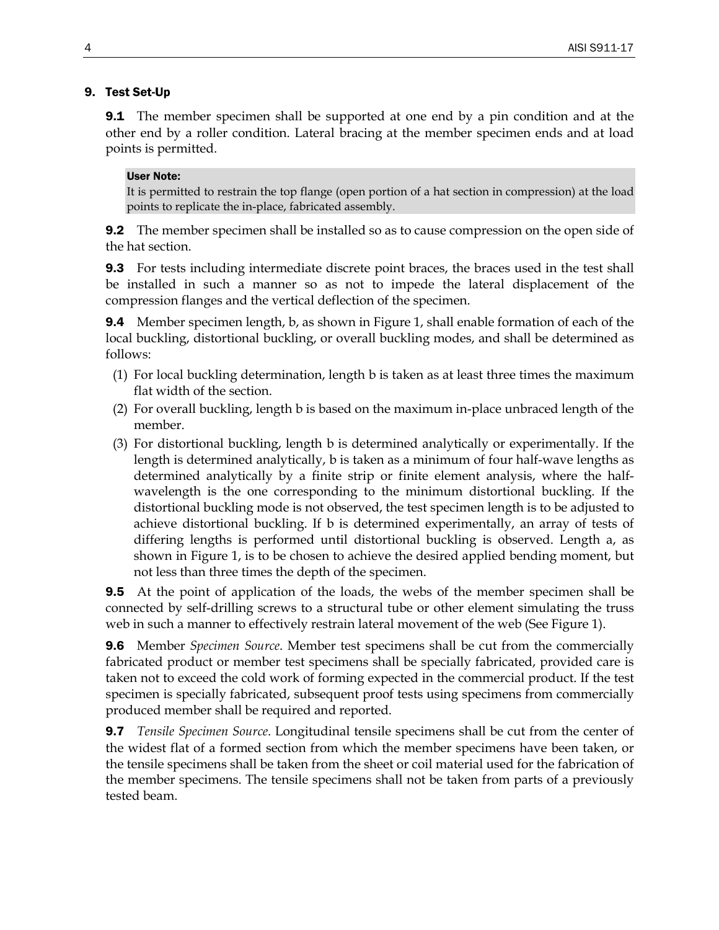# 9. Test Set-Up

**9.1** The member specimen shall be supported at one end by a pin condition and at the other end by a roller condition. Lateral bracing at the member specimen ends and at load points is permitted.

# User Note:

It is permitted to restrain the top flange (open portion of a hat section in compression) at the load points to replicate the in-place, fabricated assembly.

**9.2** The member specimen shall be installed so as to cause compression on the open side of the hat section.

**9.3** For tests including intermediate discrete point braces, the braces used in the test shall be installed in such a manner so as not to impede the lateral displacement of the compression flanges and the vertical deflection of the specimen.

**9.4** Member specimen length, b, as shown in Figure 1, shall enable formation of each of the local buckling, distortional buckling, or overall buckling modes, and shall be determined as follows:

- (1) For local buckling determination, length b is taken as at least three times the maximum flat width of the section.
- (2) For overall buckling, length b is based on the maximum in-place unbraced length of the member.
- (3) For distortional buckling, length b is determined analytically or experimentally. If the length is determined analytically, b is taken as a minimum of four half-wave lengths as determined analytically by a finite strip or finite element analysis, where the halfwavelength is the one corresponding to the minimum distortional buckling. If the distortional buckling mode is not observed, the test specimen length is to be adjusted to achieve distortional buckling. If b is determined experimentally, an array of tests of differing lengths is performed until distortional buckling is observed. Length a, as shown in Figure 1, is to be chosen to achieve the desired applied bending moment, but not less than three times the depth of the specimen.

**9.5** At the point of application of the loads, the webs of the member specimen shall be connected by self-drilling screws to a structural tube or other element simulating the truss web in such a manner to effectively restrain lateral movement of the web (See Figure 1).

9.6 Member *Specimen Source*. Member test specimens shall be cut from the commercially fabricated product or member test specimens shall be specially fabricated, provided care is taken not to exceed the cold work of forming expected in the commercial product. If the test specimen is specially fabricated, subsequent proof tests using specimens from commercially produced member shall be required and reported.

9.7 *Tensile Specimen Source*. Longitudinal tensile specimens shall be cut from the center of the widest flat of a formed section from which the member specimens have been taken, or the tensile specimens shall be taken from the sheet or coil material used for the fabrication of the member specimens. The tensile specimens shall not be taken from parts of a previously tested beam.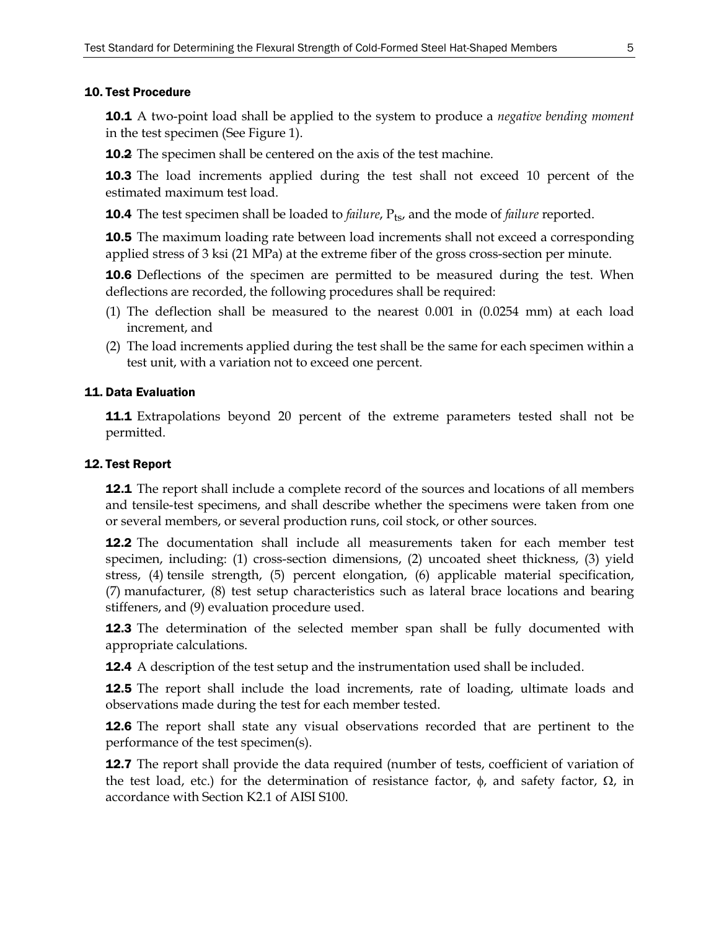# 10. Test Procedure

10.1 A two-point load shall be applied to the system to produce a *negative bending moment* in the test specimen (See Figure 1).

10.2 The specimen shall be centered on the axis of the test machine.

**10.3** The load increments applied during the test shall not exceed 10 percent of the estimated maximum test load.

**10.4** The test specimen shall be loaded to *failure*,  $P_{fs}$ , and the mode of *failure* reported.

**10.5** The maximum loading rate between load increments shall not exceed a corresponding applied stress of 3 ksi (21 MPa) at the extreme fiber of the gross cross-section per minute.

**10.6** Deflections of the specimen are permitted to be measured during the test. When deflections are recorded, the following procedures shall be required:

- (1) The deflection shall be measured to the nearest 0.001 in (0.0254 mm) at each load increment, and
- (2) The load increments applied during the test shall be the same for each specimen within a test unit, with a variation not to exceed one percent.

## 11. Data Evaluation

**11.1** Extrapolations beyond 20 percent of the extreme parameters tested shall not be permitted.

## 12. Test Report

**12.1** The report shall include a complete record of the sources and locations of all members and tensile-test specimens, and shall describe whether the specimens were taken from one or several members, or several production runs, coil stock, or other sources.

**12.2** The documentation shall include all measurements taken for each member test specimen, including: (1) cross-section dimensions, (2) uncoated sheet thickness, (3) yield stress, (4) tensile strength, (5) percent elongation, (6) applicable material specification, (7) manufacturer, (8) test setup characteristics such as lateral brace locations and bearing stiffeners, and (9) evaluation procedure used.

**12.3** The determination of the selected member span shall be fully documented with appropriate calculations.

**12.4** A description of the test setup and the instrumentation used shall be included.

**12.5** The report shall include the load increments, rate of loading, ultimate loads and observations made during the test for each member tested.

**12.6** The report shall state any visual observations recorded that are pertinent to the performance of the test specimen(s).

**12.7** The report shall provide the data required (number of tests, coefficient of variation of the test load, etc.) for the determination of resistance factor,  $φ$ , and safety factor,  $Ω$ , in accordance with Section K2.1 of AISI S100.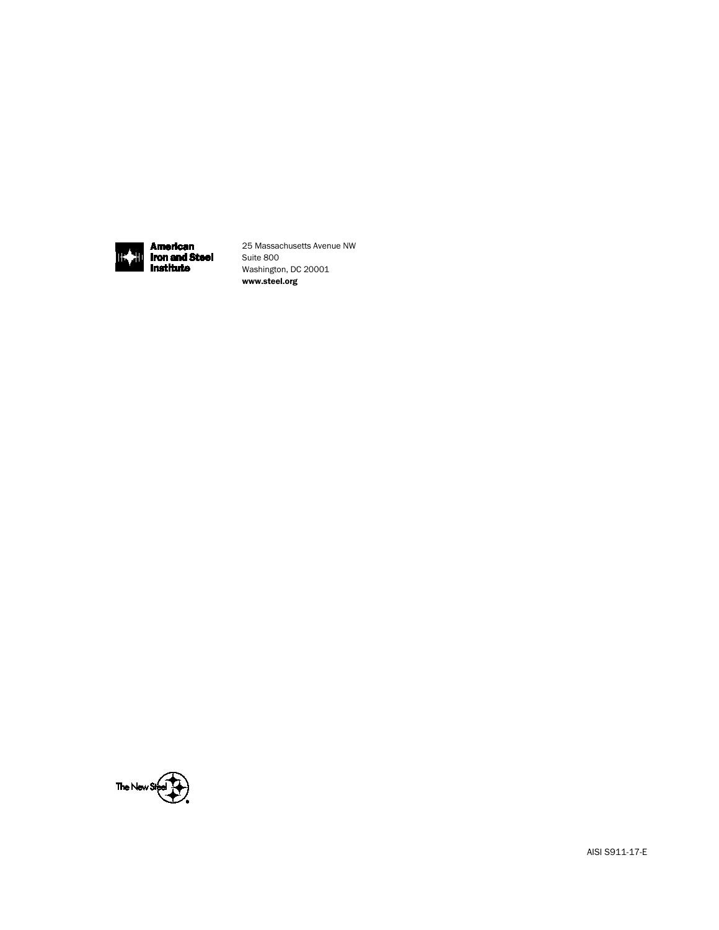

**American<br>Iron and Steel<br>Institute** 

25 Massachusetts Avenue NW Suite 800 Washington, DC 20001 www.steel.org